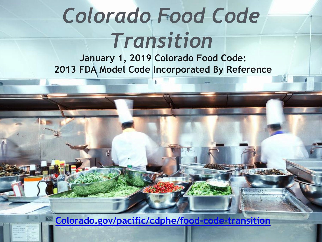## *Colorado Food Code Transition*

**January 1, 2019 Colorado Food Code: 2013 FDA Model Code Incorporated By Reference**

**[Colorado.gov/pacific/cdphe/food-code-transition](https://www.colorado.gov/pacific/cdphe/food-code-transition)**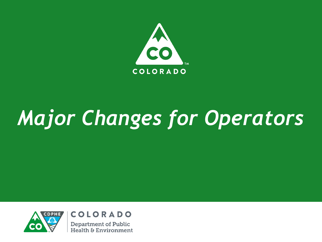

# *Major Changes for Operators*



**COLORADO Department of Public Health & Environment**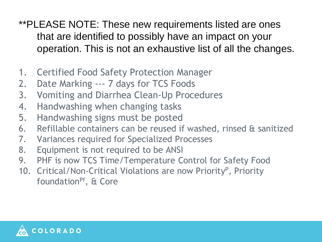- \*\*PLEASE NOTE: These new requirements listed are ones that are identified to possibly have an impact on your operation. This is not an exhaustive list of all the changes.
- 1. Certified Food Safety Protection Manager
- 2. Date Marking --- 7 days for TCS Foods
- 3. Vomiting and Diarrhea Clean-Up Procedures
- 4. Handwashing when changing tasks
- 5. Handwashing signs must be posted
- 6. Refillable containers can be reused if washed, rinsed & sanitized
- 7. Variances required for Specialized Processes
- 8. Equipment is not required to be ANSI
- 9. PHF is now TCS Time/Temperature Control for Safety Food
- 10. Critical/Non-Critical Violations are now Priority<sup>P</sup>, Priority foundation<sup>pf</sup>, & Core

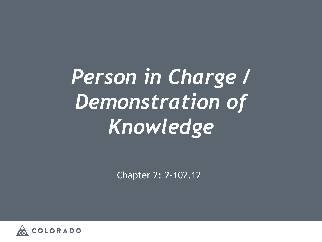*Person in Charge / Demonstration of Knowledge*

Chapter 2: 2-102.12

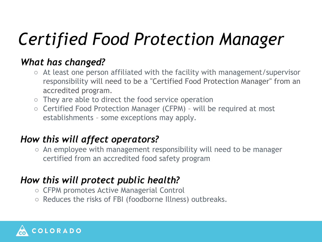### *Certified Food Protection Manager*

#### *What has changed?*

- At least one person affiliated with the facility with management/supervisor responsibility will need to be a "Certified Food Protection Manager" from an accredited program.
- They are able to direct the food service operation
- Certified Food Protection Manager (CFPM) will be required at most establishments – some exceptions may apply.

#### *How this will affect operators?*

○ An employee with management responsibility will need to be manager certified from an accredited food safety program

#### *How this will protect public health?*

- CFPM promotes Active Managerial Control
- Reduces the risks of FBI (foodborne Illness) outbreaks.

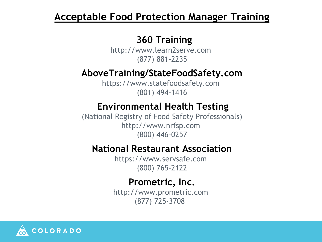#### **Acceptable Food Protection Manager Training**

#### **360 Training**

http://www.learn2serve.com (877) 881-2235

#### **AboveTraining/StateFoodSafety.com**

https://www.statefoodsafety.com (801) 494-1416

#### **Environmental Health Testing**

(National Registry of Food Safety Professionals) http://www.nrfsp.com (800) 446-0257

#### **National Restaurant Association**

https://www.servsafe.com (800) 765-2122

#### **Prometric, Inc.**

http://www.prometric.com (877) 725-3708

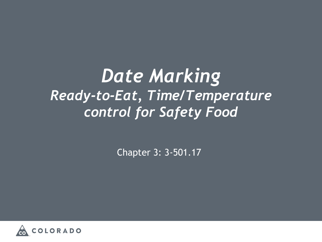*Date Marking Ready-to-Eat, Time/Temperature control for Safety Food*

Chapter 3: 3-501.17

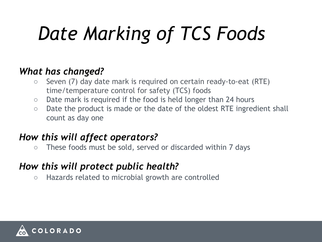# *Date Marking of TCS Foods*

#### *What has changed?*

- Seven (7) day date mark is required on certain ready-to-eat (RTE) time/temperature control for safety (TCS) foods
- Date mark is required if the food is held longer than 24 hours
- Date the product is made or the date of the oldest RTE ingredient shall count as day one

#### *How this will affect operators?*

○ These foods must be sold, served or discarded within 7 days

#### *How this will protect public health?*

○ Hazards related to microbial growth are controlled

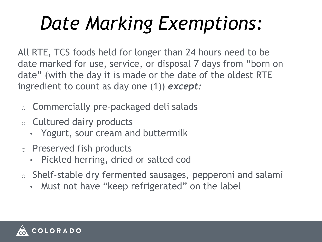## *Date Marking Exemptions:*

All RTE, TCS foods held for longer than 24 hours need to be date marked for use, service, or disposal 7 days from "born on date" (with the day it is made or the date of the oldest RTE ingredient to count as day one (1)) *except:*

- o Commercially pre-packaged deli salads
- o Cultured dairy products
	- Yogurt, sour cream and buttermilk
- o Preserved fish products
	- Pickled herring, dried or salted cod
- o Shelf-stable dry fermented sausages, pepperoni and salami
	- Must not have "keep refrigerated" on the label

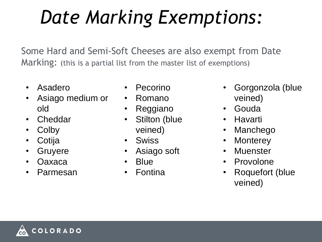## *Date Marking Exemptions:*

Some Hard and Semi-Soft Cheeses are also exempt from Date Marking: (this is a partial list from the master list of exemptions)

- **Asadero**
- Asiago medium or old
- **Cheddar**
- **Colby**
- **Cotija**
- Gruyere
- Oaxaca
- **Parmesan**
- **Pecorino**
- Romano
- Reggiano
- Stilton (blue veined)
- Swiss
- Asiago soft
- Blue
- **Fontina**
- Gorgonzola (blue veined)
- Gouda
- Havarti
- **Manchego**
- **Monterey**
- **Muenster**
- **Provolone**
- Roquefort (blue veined)

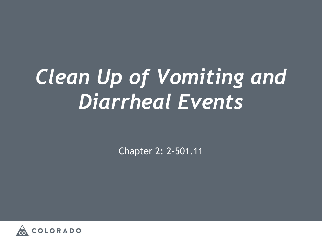## *Clean Up of Vomiting and Diarrheal Events*

Chapter 2: 2-501.11

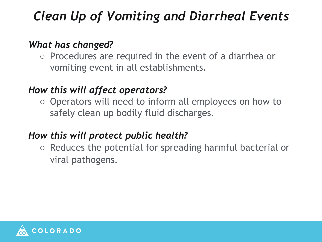### *Clean Up of Vomiting and Diarrheal Events*

#### *What has changed?*

○ Procedures are required in the event of a diarrhea or vomiting event in all establishments.

#### *How this will affect operators?*

○ Operators will need to inform all employees on how to safely clean up bodily fluid discharges.

#### *How this will protect public health?*

○ Reduces the potential for spreading harmful bacterial or viral pathogens.

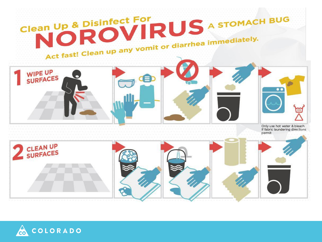

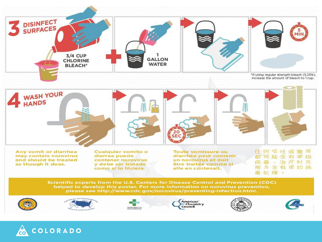

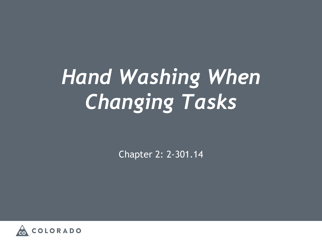# *Hand Washing When Changing Tasks*

Chapter 2: 2-301.14

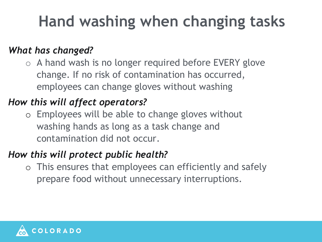### **Hand washing when changing tasks**

#### *What has changed?*

o A hand wash is no longer required before EVERY glove change. If no risk of contamination has occurred, employees can change gloves without washing

#### *How this will affect operators?*

o Employees will be able to change gloves without washing hands as long as a task change and contamination did not occur.

#### *How this will protect public health?*

o This ensures that employees can efficiently and safely prepare food without unnecessary interruptions.

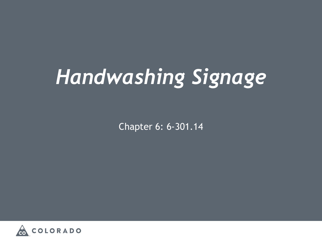# *Handwashing Signage*

Chapter 6: 6-301.14

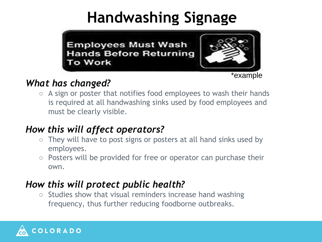### **Handwashing Signage**



\*example

#### *What has changed?*

 $\circ$  A sign or poster that notifies food employees to wash their hands is required at all handwashing sinks used by food employees and must be clearly visible.

#### *How this will affect operators?*

- They will have to post signs or posters at all hand sinks used by employees.
- Posters will be provided for free or operator can purchase their own.

#### *How this will protect public health?*

○ Studies show that visual reminders increase hand washing frequency, thus further reducing foodborne outbreaks.

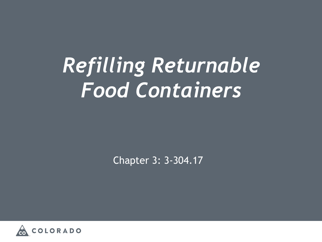## *Refilling Returnable Food Containers*

Chapter 3: 3-304.17

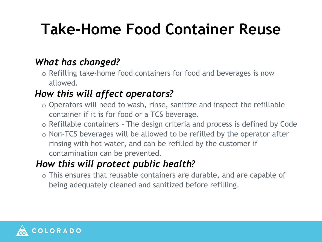### **Take-Home Food Container Reuse**

#### *What has changed?*

o Refilling take-home food containers for food and beverages is now allowed.

#### *How this will affect operators?*

- o Operators will need to wash, rinse, sanitize and inspect the refillable container if it is for food or a TCS beverage.
- o Refillable containers The design criteria and process is defined by Code
- o Non-TCS beverages will be allowed to be refilled by the operator after rinsing with hot water, and can be refilled by the customer if contamination can be prevented.

#### *How this will protect public health?*

o This ensures that reusable containers are durable, and are capable of being adequately cleaned and sanitized before refilling.

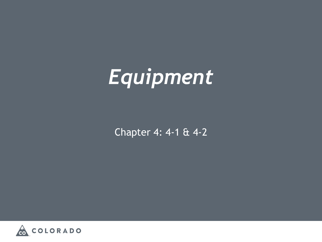# *Equipment*

Chapter 4: 4-1 & 4-2

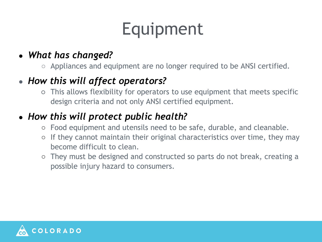### Equipment

#### ● *What has changed?*

○ Appliances and equipment are no longer required to be ANSI certified.

#### • How this will affect operators?

○ This allows flexibility for operators to use equipment that meets specific design criteria and not only ANSI certified equipment.

#### ● *How this will protect public health?*

- Food equipment and utensils need to be safe, durable, and cleanable.
- If they cannot maintain their original characteristics over time, they may become difficult to clean.
- They must be designed and constructed so parts do not break, creating a possible injury hazard to consumers.

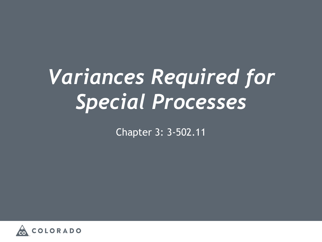## *Variances Required for Special Processes*

Chapter 3: 3-502.11

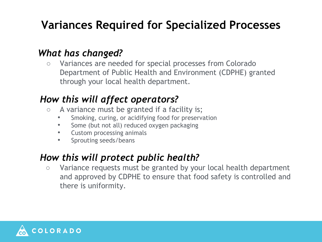#### **Variances Required for Specialized Processes**

#### *What has changed?*

○ Variances are needed for special processes from Colorado Department of Public Health and Environment (CDPHE) granted through your local health department.

#### *How this will affect operators?*

- A variance must be granted if a facility is;
	- Smoking, curing, or acidifying food for preservation
	- Some (but not all) reduced oxygen packaging
	- Custom processing animals
	- Sprouting seeds/beans

#### *How this will protect public health?*

○ Variance requests must be granted by your local health department and approved by CDPHE to ensure that food safety is controlled and there is uniformity.

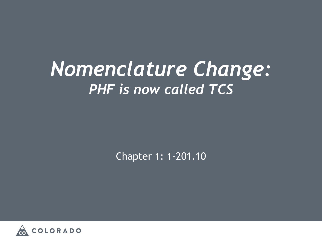### *Nomenclature Change: PHF is now called TCS*

Chapter 1: 1-201.10

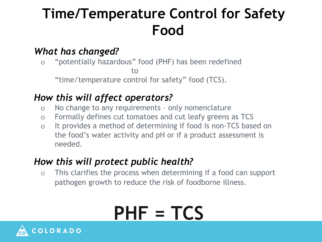### **Time/Temperature Control for Safety Food**

#### *What has changed?*

o "potentially hazardous" food (PHF) has been redefined to "time/temperature control for safety" food (TCS).

#### *How this will affect operators?*

- o No change to any requirements only nomenclature
- o Formally defines cut tomatoes and cut leafy greens as TCS
- o It provides a method of determining if food is non-TCS based on the food's water activity and pH or if a product assessment is needed.

#### *How this will protect public health?*

o This clarifies the process when determining if a food can support pathogen growth to reduce the risk of foodborne illness.

## **PHF = TCS**

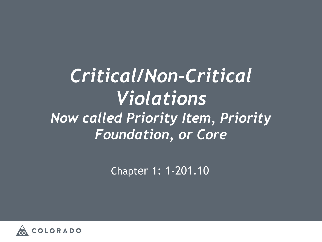### *Critical/Non-Critical Violations Now called Priority Item, Priority Foundation, or Core*

Chapter 1: 1-201.10

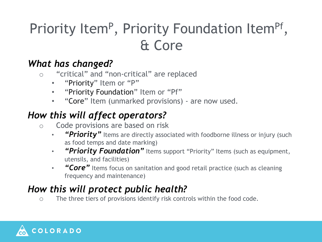### Priority Item<sup>P</sup>, Priority Foundation Item<sup>pf</sup>, & Core

#### *What has changed?*

- o "critical" and "non-critical" are replaced
	- "Priority" Item or "P"
	- "Priority Foundation" Item or "Pf"
	- "Core" Item (unmarked provisions) are now used.

#### *How this will affect operators?*

- o Code provisions are based on risk
	- *"Priority"* Items are directly associated with foodborne illness or injury (such as food temps and date marking)
	- "Priority Foundation" Items support "Priority" Items (such as equipment, utensils, and facilities)
	- *"Core"* Items focus on sanitation and good retail practice (such as cleaning frequency and maintenance)

#### *How this will protect public health?*

o The three tiers of provisions identify risk controls within the food code.